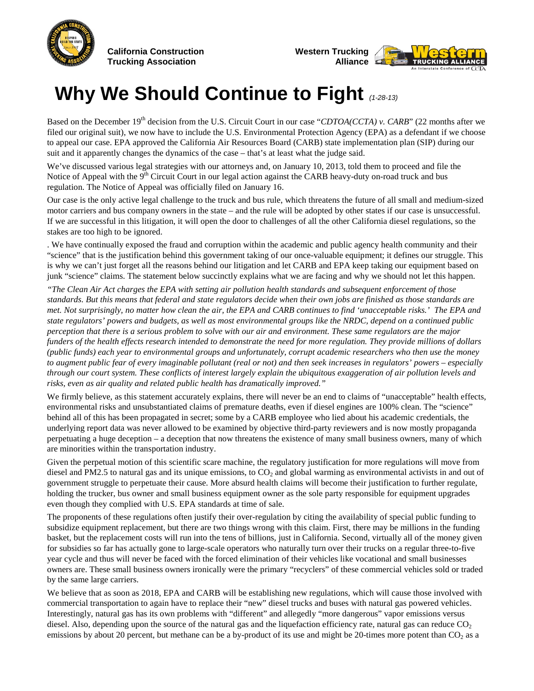

**California Construction Trucking Association**



## **Why We Should Continue to Fight** *(1-28-13)*

Based on the December 19<sup>th</sup> decision from the U.S. Circuit Court in our case "*CDTOA(CCTA) v. CARB*" (22 months after we filed our original suit), we now have to include the U.S. Environmental Protection Agency (EPA) as a defendant if we choose to appeal our case. EPA approved the California Air Resources Board (CARB) state implementation plan (SIP) during our suit and it apparently changes the dynamics of the case – that's at least what the judge said.

We've discussed various legal strategies with our attorneys and, on January 10, 2013, told them to proceed and file the Notice of Appeal with the  $9<sup>th</sup>$  Circuit Court in our legal action against the CARB heavy-duty on-road truck and bus regulation. The Notice of Appeal was officially filed on January 16.

Our case is the only active legal challenge to the truck and bus rule, which threatens the future of all small and medium-sized motor carriers and bus company owners in the state – and the rule will be adopted by other states if our case is unsuccessful. If we are successful in this litigation, it will open the door to challenges of all the other California diesel regulations, so the stakes are too high to be ignored.

. We have continually exposed the fraud and corruption within the academic and public agency health community and their "science" that is the justification behind this government taking of our once-valuable equipment; it defines our struggle. This is why we can't just forget all the reasons behind our litigation and let CARB and EPA keep taking our equipment based on junk "science" claims. The statement below succinctly explains what we are facing and why we should not let this happen.

*"The Clean Air Act charges the EPA with setting air pollution health standards and subsequent enforcement of those standards. But this means that federal and state regulators decide when their own jobs are finished as those standards are met. Not surprisingly, no matter how clean the air, the EPA and CARB continues to find 'unacceptable risks.' The EPA and state regulators' powers and budgets, as well as most environmental groups like the NRDC, depend on a continued public perception that there is a serious problem to solve with our air and environment. These same regulators are the major funders of the health effects research intended to demonstrate the need for more regulation. They provide millions of dollars (public funds) each year to environmental groups and unfortunately, corrupt academic researchers who then use the money to augment public fear of every imaginable pollutant (real or not) and then seek increases in regulators' powers – especially through our court system. These conflicts of interest largely explain the ubiquitous exaggeration of air pollution levels and risks, even as air quality and related public health has dramatically improved."*

We firmly believe, as this statement accurately explains, there will never be an end to claims of "unacceptable" health effects, environmental risks and unsubstantiated claims of premature deaths, even if diesel engines are 100% clean. The "science" behind all of this has been propagated in secret; some by a CARB employee who lied about his academic credentials, the underlying report data was never allowed to be examined by objective third-party reviewers and is now mostly propaganda perpetuating a huge deception – a deception that now threatens the existence of many small business owners, many of which are minorities within the transportation industry.

Given the perpetual motion of this scientific scare machine, the regulatory justification for more regulations will move from diesel and PM2.5 to natural gas and its unique emissions, to  $CO<sub>2</sub>$  and global warming as environmental activists in and out of government struggle to perpetuate their cause. More absurd health claims will become their justification to further regulate, holding the trucker, bus owner and small business equipment owner as the sole party responsible for equipment upgrades even though they complied with U.S. EPA standards at time of sale.

The proponents of these regulations often justify their over-regulation by citing the availability of special public funding to subsidize equipment replacement, but there are two things wrong with this claim. First, there may be millions in the funding basket, but the replacement costs will run into the tens of billions, just in California. Second, virtually all of the money given for subsidies so far has actually gone to large-scale operators who naturally turn over their trucks on a regular three-to-five year cycle and thus will never be faced with the forced elimination of their vehicles like vocational and small businesses owners are. These small business owners ironically were the primary "recyclers" of these commercial vehicles sold or traded by the same large carriers.

We believe that as soon as 2018, EPA and CARB will be establishing new regulations, which will cause those involved with commercial transportation to again have to replace their "new" diesel trucks and buses with natural gas powered vehicles. Interestingly, natural gas has its own problems with "different" and allegedly "more dangerous" vapor emissions versus diesel. Also, depending upon the source of the natural gas and the liquefaction efficiency rate, natural gas can reduce  $CO<sub>2</sub>$ emissions by about 20 percent, but methane can be a by-product of its use and might be 20-times more potent than CO<sub>2</sub> as a